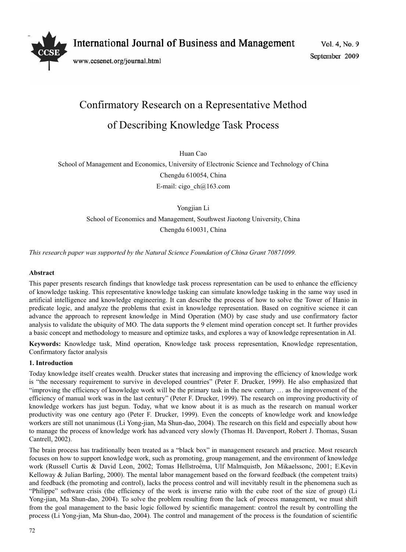

**International Journal of Business and Management** 

www.ccsenet.org/journal.html

Vol. 4, No. 9 September 2009

# Confirmatory Research on a Representative Method of Describing Knowledge Task Process

Huan Cao

School of Management and Economics, University of Electronic Science and Technology of China Chengdu 610054, China E-mail: cigo  $ch@163.com$ 

> Yongjian Li School of Economics and Management, Southwest Jiaotong University, China Chengdu 610031, China

*This research paper was supported by the Natural Science Foundation of China Grant 70871099.* 

# **Abstract**

This paper presents research findings that knowledge task process representation can be used to enhance the efficiency of knowledge tasking. This representative knowledge tasking can simulate knowledge tasking in the same way used in artificial intelligence and knowledge engineering. It can describe the process of how to solve the Tower of Hanio in predicate logic, and analyze the problems that exist in knowledge representation. Based on cognitive science it can advance the approach to represent knowledge in Mind Operation (MO) by case study and use confirmatory factor analysis to validate the ubiquity of MO. The data supports the 9 element mind operation concept set. It further provides a basic concept and methodology to measure and optimize tasks, and explores a way of knowledge representation in AI.

**Keywords:** Knowledge task, Mind operation, Knowledge task process representation, Knowledge representation, Confirmatory factor analysis

# **1. Introduction**

Today knowledge itself creates wealth. Drucker states that increasing and improving the efficiency of knowledge work is "the necessary requirement to survive in developed countries" (Peter F. Drucker, 1999). He also emphasized that "improving the efficiency of knowledge work will be the primary task in the new century … as the improvement of the efficiency of manual work was in the last century" (Peter F. Drucker, 1999). The research on improving productivity of knowledge workers has just begun. Today, what we know about it is as much as the research on manual worker productivity was one century ago (Peter F. Drucker, 1999). Even the concepts of knowledge work and knowledge workers are still not unanimous (Li Yong-jian, Ma Shun-dao, 2004). The research on this field and especially about how to manage the process of knowledge work has advanced very slowly (Thomas H. Davenport, Robert J. Thomas, Susan Cantrell, 2002).

The brain process has traditionally been treated as a "black box" in management research and practice. Most research focuses on how to support knowledge work, such as promoting, group management, and the environment of knowledge work (Russell Curtis & David Leon, 2002; Tomas Hellstroèma, Ulf Malmquistb, Jon Mikaelssonc, 2001; E.Kevin Kelloway & Julian Barling, 2000). The mental labor management based on the forward feedback (the competent traits) and feedback (the promoting and control), lacks the process control and will inevitably result in the phenomena such as "Philippe" software crisis (the efficiency of the work is inverse ratio with the cube root of the size of group) (Li Yong-jian, Ma Shun-dao, 2004). To solve the problem resulting from the lack of process management, we must shift from the goal management to the basic logic followed by scientific management: control the result by controlling the process (Li Yong-jian, Ma Shun-dao, 2004). The control and management of the process is the foundation of scientific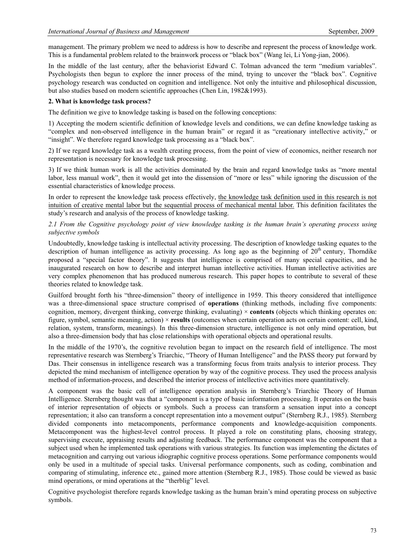management. The primary problem we need to address is how to describe and represent the process of knowledge work. This is a fundamental problem related to the brainwork process or "black box" (Wang lei, Li Yong-jian, 2006).

In the middle of the last century, after the behaviorist Edward C. Tolman advanced the term "medium variables". Psychologists then begun to explore the inner process of the mind, trying to uncover the "black box". Cognitive psychology research was conducted on cognition and intelligence. Not only the intuitive and philosophical discussion, but also studies based on modern scientific approaches (Chen Lin, 1982&1993).

#### **2. What is knowledge task process?**

The definition we give to knowledge tasking is based on the following conceptions:

1) Accepting the modern scientific definition of knowledge levels and conditions, we can define knowledge tasking as "complex and non-observed intelligence in the human brain" or regard it as "creationary intellective activity," or "insight". We therefore regard knowledge task processing as a "black box".

2) If we regard knowledge task as a wealth creating process, from the point of view of economics, neither research nor representation is necessary for knowledge task processing.

3) If we think human work is all the activities dominated by the brain and regard knowledge tasks as "more mental labor, less manual work", then it would get into the dissension of "more or less" while ignoring the discussion of the essential characteristics of knowledge process.

In order to represent the knowledge task process effectively, the knowledge task definition used in this research is not intuition of creative mental labor but the sequential process of mechanical mental labor. This definition facilitates the study's research and analysis of the process of knowledge tasking.

# *2.1 From the Cognitive psychology point of view knowledge tasking is the human brain's operating process using subjective symbols*

Undoubtedly, knowledge tasking is intellectual activity processing. The description of knowledge tasking equates to the description of human intelligence as activity processing. As long ago as the beginning of  $20<sup>th</sup>$  century, Thorndike proposed a "special factor theory". It suggests that intelligence is comprised of many special capacities, and he inaugurated research on how to describe and interpret human intellective activities. Human intellective activities are very complex phenomenon that has produced numerous research. This paper hopes to contribute to several of these theories related to knowledge task.

Guilford brought forth his "three-dimension" theory of intelligence in 1959. This theory considered that intelligence was a three-dimensional space structure comprised of **operations** (thinking methods, including five components: cognition, memory, divergent thinking, converge thinking, evaluating) × **contents** (objects which thinking operates on: figure, symbol, semantic meaning, action) × **results** (outcomes when certain operation acts on certain content: cell, kind, relation, system, transform, meanings). In this three-dimension structure, intelligence is not only mind operation, but also a three-dimension body that has close relationships with operational objects and operational results.

In the middle of the 1970's, the cognitive revolution began to impact on the research field of intelligence. The most representative research was Sternberg's Triarchic, "Theory of Human Intelligence" and the PASS theory put forward by Das. Their consensus in intelligence research was a transforming focus from traits analysis to interior process. They depicted the mind mechanism of intelligence operation by way of the cognitive process. They used the process analysis method of information-process, and described the interior process of intellective activities more quantitatively.

A component was the basic cell of intelligence operation analysis in Sternberg's Triarchic Theory of Human Intelligence. Sternberg thought was that a "component is a type of basic information processing. It operates on the basis of interior representation of objects or symbols. Such a process can transform a sensation input into a concept representation; it also can transform a concept representation into a movement output" (Sternberg R.J., 1985). Sternberg divided components into metacomponents, performance components and knowledge-acquisition components. Metacomponent was the highest-level control process. It played a role on constituting plans, choosing strategy, supervising execute, appraising results and adjusting feedback. The performance component was the component that a subject used when he implemented task operations with various strategies. Its function was implementing the dictates of metacognition and carrying out various idiographic cognitive process operations. Some performance components would only be used in a multitude of special tasks. Universal performance components, such as coding, combination and comparing of stimulating, inference etc., gained more attention (Sternberg R.J., 1985). Those could be viewed as basic mind operations, or mind operations at the "therblig" level.

Cognitive psychologist therefore regards knowledge tasking as the human brain's mind operating process on subjective symbols.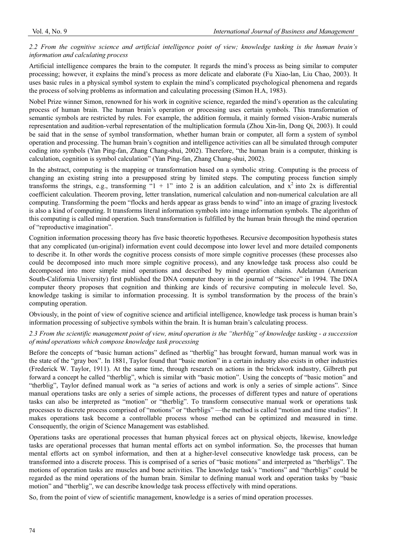# *2.2 From the cognitive science and artificial intelligence point of view; knowledge tasking is the human brain's information and calculating process*

Artificial intelligence compares the brain to the computer. It regards the mind's process as being similar to computer processing; however, it explains the mind's process as more delicate and elaborate (Fu Xiao-lan, Liu Chao, 2003). It uses basic rules in a physical symbol system to explain the mind's complicated psychological phenomena and regards the process of solving problems as information and calculating processing (Simon H.A, 1983).

Nobel Prize winner Simon, renowned for his work in cognitive science, regarded the mind's operation as the calculating process of human brain. The human brain's operation or processing uses certain symbols. This transformation of semantic symbols are restricted by rules. For example, the addition formula, it mainly formed vision-Arabic numerals representation and audition-verbal representation of the multiplication formula (Zhou Xin-lin, Dong Qi, 2003). It could be said that in the sense of symbol transformation, whether human brain or computer, all form a system of symbol operation and processing. The human brain's cognition and intelligence activities can all be simulated through computer coding into symbols (Yan Ping-fan, Zhang Chang-shui, 2002). Therefore, "the human brain is a computer, thinking is calculation, cognition is symbol calculation" (Yan Ping-fan, Zhang Chang-shui, 2002).

In the abstract, computing is the mapping or transformation based on a symbolic string. Computing is the process of changing an existing string into a presupposed string by limited steps. The computing process function simply transforms the strings, e.g., transforming "1 + 1" into 2 is an addition calculation, and  $\bar{x}^2$  into 2x is differential coefficient calculation. Theorem proving, letter translation, numerical calculation and non-numerical calculation are all computing. Transforming the poem "flocks and herds appear as grass bends to wind" into an image of grazing livestock is also a kind of computing. It transforms literal information symbols into image information symbols. The algorithm of this computing is called mind operation. Such transformation is fulfilled by the human brain through the mind operation of "reproductive imagination".

Cognition information processing theory has five basic theoretic hypotheses. Recursive decomposition hypothesis states that any complicated (un-original) information event could decompose into lower level and more detailed components to describe it. In other words the cognitive process consists of more simple cognitive processes (these processes also could be decomposed into much more simple cognitive process), and any knowledge task process also could be decomposed into more simple mind operations and described by mind operation chains. Adelaman (American South-California University) first published the DNA computer theory in the journal of "Science" in 1994. The DNA computer theory proposes that cognition and thinking are kinds of recursive computing in molecule level. So, knowledge tasking is similar to information processing. It is symbol transformation by the process of the brain's computing operation.

Obviously, in the point of view of cognitive science and artificial intelligence, knowledge task process is human brain's information processing of subjective symbols within the brain. It is human brain's calculating process.

# *2.3 From the scientific management point of view, mind operation is the "therblig" of knowledge tasking - a succession of mind operations which compose knowledge task processing*

Before the concepts of "basic human actions" defined as "therblig" has brought forward, human manual work was in the state of the "gray box". In 1881, Taylor found that "basic motion" in a certain industry also exists in other industries (Frederick W. Taylor, 1911). At the same time, through research on actions in the brickwork industry, Gilbreth put forward a concept he called "therblig", which is similar with "basic motion". Using the concepts of "basic motion" and "therblig", Taylor defined manual work as "a series of actions and work is only a series of simple actions". Since manual operations tasks are only a series of simple actions, the processes of different types and nature of operations tasks can also be interpreted as "motion" or "therblig". To transform consecutive manual work or operations task processes to discrete process comprised of "motions" or "therbligs" —the method is called "motion and time studies". It makes operations task become a controllable process whose method can be optimized and measured in time. Consequently, the origin of Science Management was established.

Operations tasks are operational processes that human physical forces act on physical objects, likewise, knowledge tasks are operational processes that human mental efforts act on symbol information. So, the processes that human mental efforts act on symbol information, and then at a higher-level consecutive knowledge task process, can be transformed into a discrete process. This is comprised of a series of "basic motions" and interpreted as "therbligs". The motions of operation tasks are muscles and bone activities. The knowledge task's "motions" and "therbligs" could be regarded as the mind operations of the human brain. Similar to defining manual work and operation tasks by "basic motion" and "therblig", we can describe knowledge task process effectively with mind operations.

So, from the point of view of scientific management, knowledge is a series of mind operation processes.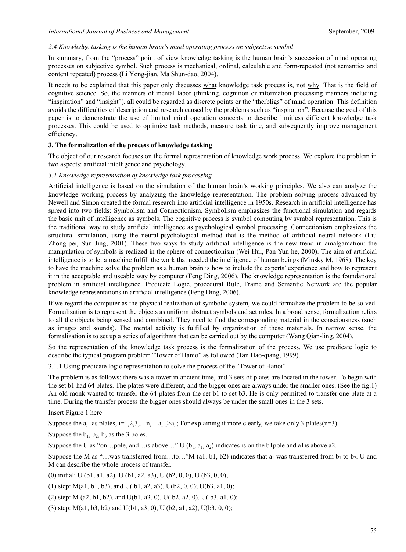# *2.4 Knowledge tasking is the human brain's mind operating process on subjective symbol*

In summary, from the "process" point of view knowledge tasking is the human brain's succession of mind operating processes on subjective symbol. Such process is mechanical, ordinal, calculable and form-repeated (not semantics and content repeated) process (Li Yong-jian, Ma Shun-dao, 2004).

It needs to be explained that this paper only discusses what knowledge task process is, not why. That is the field of cognitive science. So, the manners of mental labor (thinking, cognition or information processing manners including "inspiration" and "insight"), all could be regarded as discrete points or the "therbligs" of mind operation. This definition avoids the difficulties of description and research caused by the problems such as "inspiration". Because the goal of this paper is to demonstrate the use of limited mind operation concepts to describe limitless different knowledge task processes. This could be used to optimize task methods, measure task time, and subsequently improve management efficiency.

## **3. The formalization of the process of knowledge tasking**

The object of our research focuses on the formal representation of knowledge work process. We explore the problem in two aspects: artificial intelligence and psychology.

## *3.1 Knowledge representation of knowledge task processing*

Artificial intelligence is based on the simulation of the human brain's working principles. We also can analyze the knowledge working process by analyzing the knowledge representation. The problem solving process advanced by Newell and Simon created the formal research into artificial intelligence in 1950s. Research in artificial intelligence has spread into two fields: Symbolism and Connectionism. Symbolism emphasizes the functional simulation and regards the basic unit of intelligence as symbols. The cognitive process is symbol computing by symbol representation. This is the traditional way to study artificial intelligence as psychological symbol processing. Connectionism emphasizes the structural simulation, using the neural-psychological method that is the method of artificial neural network (Liu Zhong-pei, Sun Jing, 2001). These two ways to study artificial intelligence is the new trend in amalgamation: the manipulation of symbols is realized in the sphere of connectionism (Wei Hui, Pan Yun-he, 2000). The aim of artificial intelligence is to let a machine fulfill the work that needed the intelligence of human beings (Minsky M, 1968). The key to have the machine solve the problem as a human brain is how to include the experts' experience and how to represent it in the acceptable and useable way by computer (Feng Ding, 2006). The knowledge representation is the foundational problem in artificial intelligence. Predicate Logic, procedural Rule, Frame and Semantic Network are the popular knowledge representations in artificial intelligence (Feng Ding, 2006).

If we regard the computer as the physical realization of symbolic system, we could formalize the problem to be solved. Formalization is to represent the objects as uniform abstract symbols and set rules. In a broad sense, formalization refers to all the objects being sensed and combined. They need to find the corresponding material in the consciousness (such as images and sounds). The mental activity is fulfilled by organization of these materials. In narrow sense, the formalization is to set up a series of algorithms that can be carried out by the computer (Wang Qian-ling, 2004).

So the representation of the knowledge task process is the formalization of the process. We use predicate logic to describe the typical program problem "Tower of Hanio" as followed (Tan Hao-qiang, 1999).

3.1.1 Using predicate logic representation to solve the process of the "Tower of Hanoi"

The problem is as follows: there was a tower in ancient time, and 3 sets of plates are located in the tower. To begin with the set b1 had 64 plates. The plates were different, and the bigger ones are always under the smaller ones. (See the fig.1) An old monk wanted to transfer the 64 plates from the set b1 to set b3. He is only permitted to transfer one plate at a time. During the transfer process the bigger ones should always be under the small ones in the 3 sets.

Insert Figure 1 here

Suppose the  $a_i$  as plates,  $i=1,2,3,...n$ ,  $a_{i+1}>a_i$ ; For explaining it more clearly, we take only 3 plates(n=3)

Suppose the  $b_1$ ,  $b_2$ ,  $b_3$  as the 3 poles.

Suppose the U as "on...pole, and... is above..." U  $(b_1, a_1, a_2)$  indicates is on the b1pole and a1is above a2.

Suppose the M as "...was transferred from...to..."M (a1, b1, b2) indicates that  $a_1$  was transferred from  $b_1$  to  $b_2$ . U and M can describe the whole process of transfer.

(0) initial: U (b1, a1, a2), U (b1, a2, a3), U (b2, 0, 0), U (b3, 0, 0);

(1) step: M(a1, b1, b3), and U( b1, a2, a3), U(b2, 0, 0); U(b3, a1, 0);

(2) step: M (a2, b1, b2), and U(b1, a3, 0), U( b2, a2, 0), U( b3, a1, 0);

(3) step: M(a1, b3, b2) and U(b1, a3, 0), U (b2, a1, a2), U(b3, 0, 0);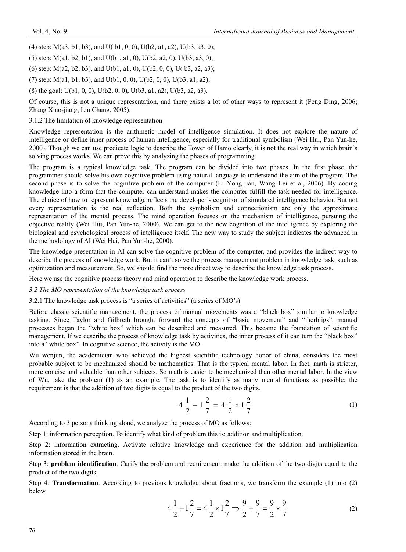(4) step: M(a3, b1, b3), and U( b1, 0, 0), U(b2, a1, a2), U(b3, a3, 0);

(5) step: M(a1, b2, b1), and U(b1, a1, 0), U(b2, a2, 0), U(b3, a3, 0);

(6) step: M(a2, b2, b3), and U(b1, a1, 0), U(b2, 0, 0), U( b3, a2, a3);

(7) step:  $M(a1, b1, b3)$ , and  $U(b1, 0, 0)$ ,  $U(b2, 0, 0)$ ,  $U(b3, a1, a2)$ ;

(8) the goal: U(b1, 0, 0), U(b2, 0, 0), U(b3, a1, a2), U(b3, a2, a3).

Of course, this is not a unique representation, and there exists a lot of other ways to represent it (Feng Ding, 2006; Zhang Xiao-jiang, Liu Chang, 2005).

#### 3.1.2 The limitation of knowledge representation

Knowledge representation is the arithmetic model of intelligence simulation. It does not explore the nature of intelligence or define inner process of human intelligence, especially for traditional symbolism (Wei Hui, Pan Yun-he, 2000). Though we can use predicate logic to describe the Tower of Hanio clearly, it is not the real way in which brain's solving process works. We can prove this by analyzing the phases of programming.

The program is a typical knowledge task. The program can be divided into two phases. In the first phase, the programmer should solve his own cognitive problem using natural language to understand the aim of the program. The second phase is to solve the cognitive problem of the computer (Li Yong-jian, Wang Lei et al, 2006). By coding knowledge into a form that the computer can understand makes the computer fulfill the task needed for intelligence. The choice of how to represent knowledge reflects the developer's cognition of simulated intelligence behavior. But not every representation is the real reflection. Both the symbolism and connectionism are only the approximate representation of the mental process. The mind operation focuses on the mechanism of intelligence, pursuing the objective reality (Wei Hui, Pan Yun-he, 2000). We can get to the new cognition of the intelligence by exploring the biological and psychological process of intelligence itself. The new way to study the subject indicates the advanced in the methodology of AI (Wei Hui, Pan Yun-he, 2000).

The knowledge presentation in AI can solve the cognitive problem of the computer, and provides the indirect way to describe the process of knowledge work. But it can't solve the process management problem in knowledge task, such as optimization and measurement. So, we should find the more direct way to describe the knowledge task process.

Here we use the cognitive process theory and mind operation to describe the knowledge work process.

## *3.2 The MO representation of the knowledge task process*

## 3.2.1 The knowledge task process is "a series of activities" (a series of MO's)

Before classic scientific management, the process of manual movements was a "black box" similar to knowledge tasking. Since Taylor and Gilbreth brought forward the concepts of "basic movement" and "therbligs", manual processes began the "white box" which can be described and measured. This became the foundation of scientific management. If we describe the process of knowledge task by activities, the inner process of it can turn the "black box" into a "white box". In cognitive science, the activity is the MO.

Wu wenjun, the academician who achieved the highest scientific technology honor of china, considers the most probable subject to be mechanized should be mathematics. That is the typical mental labor. In fact, math is stricter, more concise and valuable than other subjects. So math is easier to be mechanized than other mental labor. In the view of Wu, take the problem (1) as an example. The task is to identify as many mental functions as possible; the requirement is that the addition of two digits is equal to the product of the two digits.

$$
4\frac{1}{2} + 1\frac{2}{7} = 4\frac{1}{2} \times 1\frac{2}{7}
$$
 (1)

According to 3 persons thinking aloud, we analyze the process of MO as follows:

Step 1: information perception. To identify what kind of problem this is: addition and multiplication.

Step 2: information extracting. Activate relative knowledge and experience for the addition and multiplication information stored in the brain.

Step 3: **problem identification**. Carify the problem and requirement: make the addition of the two digits equal to the product of the two digits.

Step 4: **Transformation**. According to previous knowledge about fractions, we transform the example (1) into (2) below

$$
4\frac{1}{2} + 1\frac{2}{7} = 4\frac{1}{2} \times 1\frac{2}{7} \Rightarrow \frac{9}{2} + \frac{9}{7} = \frac{9}{2} \times \frac{9}{7}
$$
 (2)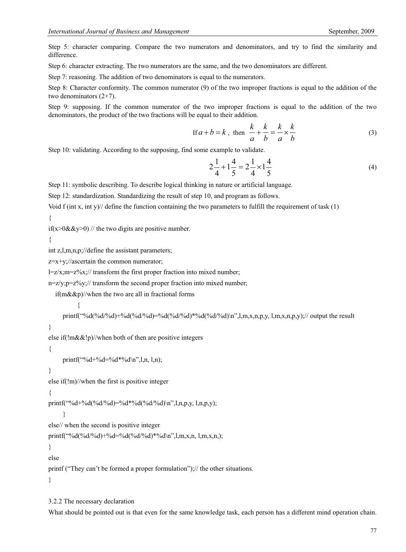Step 5: character comparing. Compare the two numerators and denominators, and try to find the similarity and difference.

Step 6: character extracting. The two numerators are the same, and the two denominators are different.

Step 7: reasoning. The addition of two denominators is equal to the numerators.

Step 8: Character conformity. The common numerator (9) of the two improper fractions is equal to the addition of the two denominators (2+7).

Step 9: supposing. If the common numerator of the two improper fractions is equal to the addition of the two denominators, the product of the two fractions will be equal to their addition.

If 
$$
a + b = k
$$
, then  $\frac{k}{a} + \frac{k}{b} = \frac{k}{a} \times \frac{k}{b}$  (3)

Step 10: validating. According to the supposing, find some example to validate.

$$
2\frac{1}{4} + 1\frac{4}{5} = 2\frac{1}{4} \times 1\frac{4}{5}
$$
 (4)

Step 11: symbolic describing. To describe logical thinking in nature or artificial language.

Step 12: standardization. Standardizing the result of step 10, and program as follows.

```
Void f (int x, int y)// define the function containing the two parameters to fulfill the requirement of task (1)
{
```
if(x>0&&y>0) // the two digits are positive number.

$$
\{ \overline{\}
$$

int z,l,m,n,p;//define the assistant parameters;

z=x+y;//ascertain the common numerator;

 $l=z/x; m=z\%x; // transform the first proper fraction into mixed number;$ 

 $n=z/y; p=z\frac{y}{y}$ ; transform the second proper fraction into mixed number;

if(m&&p)//when the two are all in fractional forms

printf("%d(%d/%d)+%d(%d/%d)=%d(%d/%d)\*%d(%d/%d))n",l,m,x,n,p,y, l,m,x,n,p,y);// output the result

```
}
```
{

 $\left\{ \begin{array}{c} \end{array} \right.$ 

else if(!m&&!p)//when both of then are positive integers

```
printf("%d+%d=%d*%d\n",l,n, l,n);
```

```
}
```
else if(!m)//when the first is positive integer

```
{
```
printf("%d+%d(%d/%d)=%d\*%d(%d/%d)\n",l,n,p,y, l,n,p,y);

```
 }
```
else// when the second is positive integer

```
printf("%d(%d/%d)+%d=%d(%d/%d)*%d\n",l,m,x,n, l,m,x,n,);
```
}

else

printf ("They can't be formed a proper formulation");// the other situations. }

3.2.2 The necessary declaration

What should be pointed out is that even for the same knowledge task, each person has a different mind operation chain.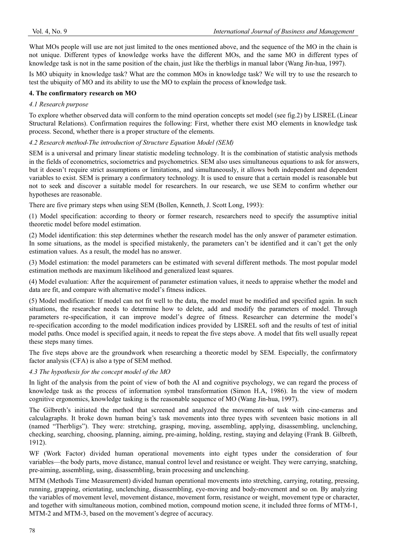What MOs people will use are not just limited to the ones mentioned above, and the sequence of the MO in the chain is not unique. Different types of knowledge works have the different MOs, and the same MO in different types of knowledge task is not in the same position of the chain, just like the therbligs in manual labor (Wang Jin-hua, 1997).

Is MO ubiquity in knowledge task? What are the common MOs in knowledge task? We will try to use the research to test the ubiquity of MO and its ability to use the MO to explain the process of knowledge task.

# **4. The confirmatory research on MO**

## *4.1 Research purpose*

To explore whether observed data will conform to the mind operation concepts set model (see fig.2) by LISREL (Linear Structural Relations). Confirmation requires the following: First, whether there exist MO elements in knowledge task process. Second, whether there is a proper structure of the elements.

## *4.2 Research method-The introduction of Structure Equation Model (SEM)*

SEM is a universal and primary linear statistic modeling technology. It is the combination of statistic analysis methods in the fields of econometrics, sociometrics and psychometrics. SEM also uses simultaneous equations to ask for answers, but it doesn't require strict assumptions or limitations, and simultaneously, it allows both independent and dependent variables to exist. SEM is primary a confirmatory technology. It is used to ensure that a certain model is reasonable but not to seek and discover a suitable model for researchers. In our research, we use SEM to confirm whether our hypotheses are reasonable.

There are five primary steps when using SEM (Bollen, Kenneth, J. Scott Long, 1993):

(1) Model specification: according to theory or former research, researchers need to specify the assumptive initial theoretic model before model estimation.

(2) Model identification: this step determines whether the research model has the only answer of parameter estimation. In some situations, as the model is specified mistakenly, the parameters can't be identified and it can't get the only estimation values. As a result, the model has no answer.

(3) Model estimation: the model parameters can be estimated with several different methods. The most popular model estimation methods are maximum likelihood and generalized least squares.

(4) Model evaluation: After the acquirement of parameter estimation values, it needs to appraise whether the model and data are fit, and compare with alternative model's fitness indices.

(5) Model modification: If model can not fit well to the data, the model must be modified and specified again. In such situations, the researcher needs to determine how to delete, add and modify the parameters of model. Through parameters re-specification, it can improve model's degree of fitness. Researcher can determine the model's re-specification according to the model modification indices provided by LISREL soft and the results of test of initial model paths. Once model is specified again, it needs to repeat the five steps above. A model that fits well usually repeat these steps many times.

The five steps above are the groundwork when researching a theoretic model by SEM. Especially, the confirmatory factor analysis (CFA) is also a type of SEM method.

## *4.3 The hypothesis for the concept model of the MO*

In light of the analysis from the point of view of both the AI and cognitive psychology, we can regard the process of knowledge task as the process of information symbol transformation (Simon H.A, 1986). In the view of modern cognitive ergonomics, knowledge tasking is the reasonable sequence of MO (Wang Jin-hua, 1997).

The Gilbreth's initiated the method that screened and analyzed the movements of task with cine-cameras and calculagraphs. It broke down human being's task movements into three types with seventeen basic motions in all (named "Therbligs"). They were: stretching, grasping, moving, assembling, applying, disassembling, unclenching, checking, searching, choosing, planning, aiming, pre-aiming, holding, resting, staying and delaying (Frank B. Gilbreth, 1912).

WF (Work Factor) divided human operational movements into eight types under the consideration of four variables—the body parts, move distance, manual control level and resistance or weight. They were carrying, snatching, pre-aiming, assembling, using, disassembling, brain processing and unclenching.

MTM (Methods Time Measurement) divided human operational movements into stretching, carrying, rotating, pressing, running, grapping, orientating, unclenching, disassembling, eye-moving and body-movement and so on. By analyzing the variables of movement level, movement distance, movement form, resistance or weight, movement type or character, and together with simultaneous motion, combined motion, compound motion scene, it included three forms of MTM-1, MTM-2 and MTM-3, based on the movement's degree of accuracy.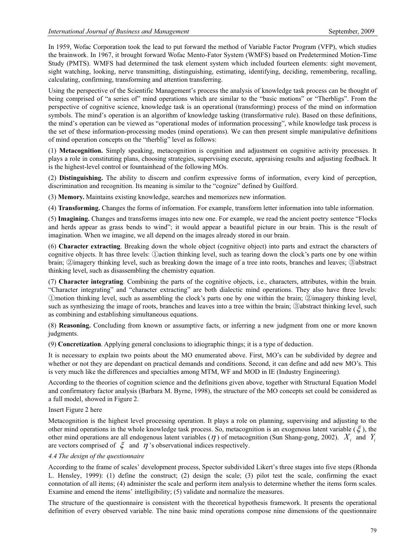In 1959, Wofac Corporation took the lead to put forward the method of Variable Factor Program (VFP), which studies the brainwork. In 1967, it brought forward Wofac Mento-Fator System (WMFS) based on Predetermined Motion-Time Study (PMTS). WMFS had determined the task element system which included fourteen elements: sight movement, sight watching, looking, nerve transmitting, distinguishing, estimating, identifying, deciding, remembering, recalling, calculating, confirming, transforming and attention transferring.

Using the perspective of the Scientific Management's process the analysis of knowledge task process can be thought of being comprised of "a series of" mind operations which are similar to the "basic motions" or "Therbligs". From the perspective of cognitive science, knowledge task is an operational (transforming) process of the mind on information symbols. The mind's operation is an algorithm of knowledge tasking (transformative rule). Based on these definitions, the mind's operation can be viewed as "operational modes of information processing", while knowledge task process is the set of these information-processing modes (mind operations). We can then present simple manipulative definitions of mind operation concepts on the "therblig" level as follows:

(1) **Metacognition.** Simply speaking, metacognition is cognition and adjustment on cognitive activity processes. It plays a role in constituting plans, choosing strategies, supervising execute, appraising results and adjusting feedback. It is the highest-level control or fountainhead of the following MOs.

(2) **Distinguishing.** The ability to discern and confirm expressive forms of information, every kind of perception, discrimination and recognition. Its meaning is similar to the "cognize" defined by Guilford.

(3) **Memory.** Maintains existing knowledge, searches and memorizes new information.

(4) **Transforming.** Changes the forms of information. For example, transform letter information into table information.

(5) **Imagining.** Changes and transforms images into new one. For example, we read the ancient poetry sentence "Flocks and herds appear as grass bends to wind"; it would appear a beautiful picture in our brain. This is the result of imagination. When we imagine, we all depend on the images already stored in our brain.

(6) **Character extracting**. Breaking down the whole object (cognitive object) into parts and extract the characters of cognitive objects. It has three levels: ①action thinking level, such as tearing down the clock's parts one by one within brain; ②imagery thinking level, such as breaking down the image of a tree into roots, branches and leaves; ③abstract thinking level, such as disassembling the chemistry equation.

(7) **Character integrating**. Combining the parts of the cognitive objects, i.e., characters, attributes, within the brain. "Character integrating" and "character extracting" are both dialectic mind operations. They also have three levels:  $\Phi$  (Dmotion thinking level, such as assembling the clock's parts one by one within the brain;  $\Phi$  imagery thinking level, such as synthesizing the image of roots, branches and leaves into a tree within the brain; 3 abstract thinking level, such as combining and establishing simultaneous equations.

(8) **Reasoning.** Concluding from known or assumptive facts, or inferring a new judgment from one or more known judgments.

(9) **Concretization**. Applying general conclusions to idiographic things; it is a type of deduction.

It is necessary to explain two points about the MO enumerated above. First, MO's can be subdivided by degree and whether or not they are dependant on practical demands and conditions. Second, it can define and add new MO's. This is very much like the differences and specialties among MTM, WF and MOD in IE (Industry Engineering).

According to the theories of cognition science and the definitions given above, together with Structural Equation Model and confirmatory factor analysis (Barbara M. Byrne, 1998), the structure of the MO concepts set could be considered as a full model, showed in Figure 2.

#### Insert Figure 2 here

Metacognition is the highest level processing operation. It plays a role on planning, supervising and adjusting to the other mind operations in the whole knowledge task process. So, metacognition is an exogenous latent variable ( $\xi$ ), the other mind operations are all endogenous latent variables  $(\eta)$  of metacognition (Sun Shang-gong, 2002).  $X_i$  and  $Y_i$ are vectors comprised of  $\zeta$  and  $\eta$ 's observational indices respectively.

#### *4.4 The design of the questionnaire*

According to the frame of scales' development process, Spector subdivided Likert's three stages into five steps (Rhonda L. Hensley, 1999): (1) define the construct; (2) design the scale; (3) pilot test the scale, confirming the exact connotation of all items; (4) administer the scale and perform item analysis to determine whether the items form scales. Examine and emend the items' intelligibility; (5) validate and normalize the measures.

The structure of the questionnaire is consistent with the theoretical hypothesis framework. It presents the operational definition of every observed variable. The nine basic mind operations compose nine dimensions of the questionnaire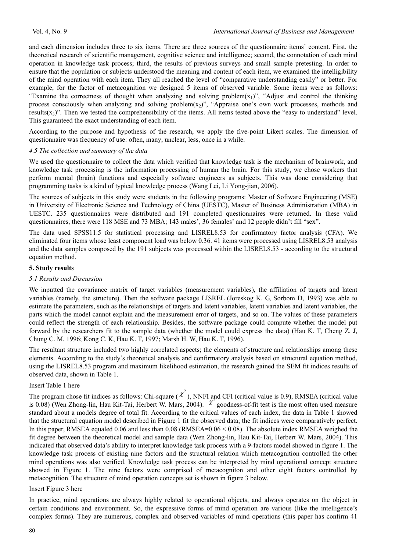and each dimension includes three to six items. There are three sources of the questionnaire items' content. First, the theoretical research of scientific management, cognitive science and intelligence; second, the connotation of each mind operation in knowledge task process; third, the results of previous surveys and small sample pretesting. In order to ensure that the population or subjects understood the meaning and content of each item, we examined the intelligibility of the mind operation with each item. They all reached the level of "comparative understanding easily" or better. For example, for the factor of metacognition we designed 5 items of observed variable. Some items were as follows: "Examine the correctness of thought when analyzing and solving problem $(x_1)$ ", "Adjust and control the thinking process consciously when analyzing and solving problem $(x_2)$ ", "Appraise one's own work processes, methods and results $(x_3)$ ". Then we tested the comprehensibility of the items. All items tested above the "easy to understand" level. This guaranteed the exact understanding of each item.

According to the purpose and hypothesis of the research, we apply the five-point Likert scales. The dimension of questionnaire was frequency of use: often, many, unclear, less, once in a while.

#### *4.5 The collection and summary of the data*

We used the questionnaire to collect the data which verified that knowledge task is the mechanism of brainwork, and knowledge task processing is the information processing of human the brain. For this study, we chose workers that perform mental (brain) functions and especially software engineers as subjects. This was done considering that programming tasks is a kind of typical knowledge process (Wang Lei, Li Yong-jian, 2006).

The sources of subjects in this study were students in the following programs: Master of Software Engineering (MSE) in University of Electronic Science and Technology of China (UESTC), Master of Business Administration (MBA) in UESTC. 235 questionnaires were distributed and 191 completed questionnaires were returned. In these valid questionnaires, there were 118 MSE and 73 MBA; 143 males', 36 females' and 12 people didn't fill "sex".

The data used SPSS11.5 for statistical processing and LISREL8.53 for confirmatory factor analysis (CFA). We eliminated four items whose least component load was below 0.36. 41 items were processed using LISREL8.53 analysis and the data samples composed by the 191 subjects was processed within the LISREL8.53 - according to the structural equation method.

#### **5. Study results**

#### *5.1 Results and Discussion*

We inputted the covariance matrix of target variables (measurement variables), the affiliation of targets and latent variables (namely, the structure). Then the software package LISREL (Joreskog K. G, Sorbom D, 1993) was able to estimate the parameters, such as the relationships of targets and latent variables, latent variables and latent variables, the parts which the model cannot explain and the measurement error of targets, and so on. The values of these parameters could reflect the strength of each relationship. Besides, the software package could compute whether the model put forward by the researchers fit to the sample data (whether the model could express the data) (Hau K. T, Cheng Z. J, Chung C. M, 1996; Kong C. K, Hau K. T, 1997; Marsh H. W, Hau K. T, 1996).

The resultant structure included two highly correlated aspects; the elements of structure and relationships among these elements. According to the study's theoretical analysis and confirmatory analysis based on structural equation method, using the LISREL8.53 program and maximum likelihood estimation, the research gained the SEM fit indices results of observed data, shown in Table 1.

#### Insert Table 1 here

The program chose fit indices as follows: Chi-square  $(\chi^2)$ , NNFI and CFI (critical value is 0.9), RMSEA (critical value is 0.08) (Wen Zhong-lin, Hau Kit-Tai, Herbert W. Mars, 2004).  $\chi^2$  goodness-of-fit test is the most often used measure standard about a models degree of total fit. According to the critical values of each index, the data in Table 1 showed that the structural equation model described in Figure 1 fit the observed data; the fit indices were comparatively perfect. In this paper, RMSEA equaled 0.06 and less than 0.08 (RMSEA=0.06 < 0.08). The absolute index RMSEA weighed the fit degree between the theoretical model and sample data (Wen Zhong-lin, Hau Kit-Tai, Herbert W. Mars, 2004). This indicated that observed data's ability to interpret knowledge task process with a 9-factors model showed in figure 1. The knowledge task process of existing nine factors and the structural relation which metacognition controlled the other mind operations was also verified. Knowledge task process can be interpreted by mind operational concept structure showed in Figure 1. The nine factors were comprised of metacogniton and other eight factors controlled by metacognition. The structure of mind operation concepts set is shown in figure 3 below.

#### Insert Figure 3 here

In practice, mind operations are always highly related to operational objects, and always operates on the object in certain conditions and environment. So, the expressive forms of mind operation are various (like the intelligence's complex forms). They are numerous, complex and observed variables of mind operations (this paper has confirm 41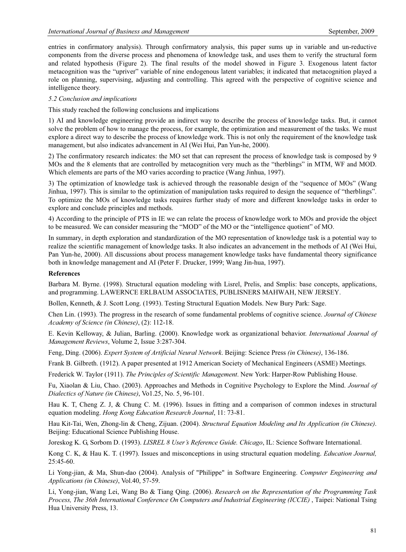entries in confirmatory analysis). Through confirmatory analysis, this paper sums up in variable and un-reductive components from the diverse process and phenomena of knowledge task, and uses them to verify the structural form and related hypothesis (Figure 2). The final results of the model showed in Figure 3. Exogenous latent factor metacognition was the "upriver" variable of nine endogenous latent variables; it indicated that metacognition played a role on planning, supervising, adjusting and controlling. This agreed with the perspective of cognitive science and intelligence theory.

# *5.2 Conclusion and implications*

This study reached the following conclusions and implications

1) AI and knowledge engineering provide an indirect way to describe the process of knowledge tasks. But, it cannot solve the problem of how to manage the process, for example, the optimization and measurement of the tasks. We must explore a direct way to describe the process of knowledge work. This is not only the requirement of the knowledge task management, but also indicates advancement in AI (Wei Hui, Pan Yun-he, 2000).

2) The confirmatory research indicates: the MO set that can represent the process of knowledge task is composed by 9 MOs and the 8 elements that are controlled by metacognition very much as the "therblings" in MTM, WF and MOD. Which elements are parts of the MO varies according to practice (Wang Jinhua, 1997).

3) The optimization of knowledge task is achieved through the reasonable design of the "sequence of MOs" (Wang Jinhua, 1997). This is similar to the optimization of manipulation tasks required to design the sequence of "therblings". To optimize the MOs of knowledge tasks requires further study of more and different knowledge tasks in order to explore and conclude principles and methods.

4) According to the principle of PTS in IE we can relate the process of knowledge work to MOs and provide the object to be measured. We can consider measuring the "MOD" of the MO or the "intelligence quotient" of MO.

In summary, in depth exploration and standardization of the MO representation of knowledge task is a potential way to realize the scientific management of knowledge tasks. It also indicates an advancement in the methods of AI (Wei Hui, Pan Yun-he, 2000). All discussions about process management knowledge tasks have fundamental theory significance both in knowledge management and AI (Peter F. Drucker, 1999; Wang Jin-hua, 1997).

#### **References**

Barbara M. Byrne. (1998). Structural equation modeling with Lisrel, Prelis, and Smplis: base concepts, applications, and programming. LAWERNCE ERLBAUM ASSOCIATES, PUBLISNERS MAHWAH, NEW JERSEY.

Bollen, Kenneth, & J. Scott Long. (1993). Testing Structural Equation Models. New Bury Park: Sage.

Chen Lin. (1993). The progress in the research of some fundamental problems of cognitive science. *Journal of Chinese Academy of Science (in Chinese)*, (2): 112-18.

E. Kevin Kelloway, & Julian, Barling. (2000). Knowledge work as organizational behavior. *International Journal of Management Reviews*, Volume 2, Issue 3:287-304.

Feng, Ding. (2006). *Expert System of Artificial Neural Network*. Beijing: Science Press *(in Chinese)*, 136-186.

Frank B. Gilbreth. (1912). A paper presented at 1912 American Society of Mechanical Engineers (ASME) Meetings.

Frederick W. Taylor (1911). *The Principles of Scientific Management*. New York: Harper-Row Publishing House.

Fu, Xiaolan & Liu, Chao. (2003). Approaches and Methods in Cognitive Psychology to Explore the Mind. *Journal of Dialectics of Nature (in Chinese)*, Vo1.25, No. 5, 96-101.

Hau K. T, Cheng Z. J, & Chung C. M. (1996). Issues in fitting and a comparison of common indexes in structural equation modeling. *Hong Kong Education Research Journal*, 11: 73-81.

Hau Kit-Tai, Wen, Zhong-lin & Cheng, Zijuan. (2004). *Structural Equation Modeling and Its Application (in Chinese)*. Beijing: Educational Science Publishing House.

Joreskog K. G, Sorbom D. (1993). *LISREL 8 User's Reference Guide. Chicago*, IL: Science Software International.

Kong C. K, & Hau K. T. (1997). Issues and misconceptions in using structural equation modeling. *Education Journal,* 25:45-60.

Li Yong-jian, & Ma, Shun-dao (2004). Analysis of "Philippe" in Software Engineering. *Computer Engineering and Applications (in Chinese)*, Vol.40, 57-59.

Li, Yong-jian, Wang Lei, Wang Bo & Tiang Qing. (2006). *Research on the Representation of the Programming Task Process, The 36th International Conference On Computers and Industrial Engineering (ICCIE)* , Taipei: National Tsing Hua University Press, 13.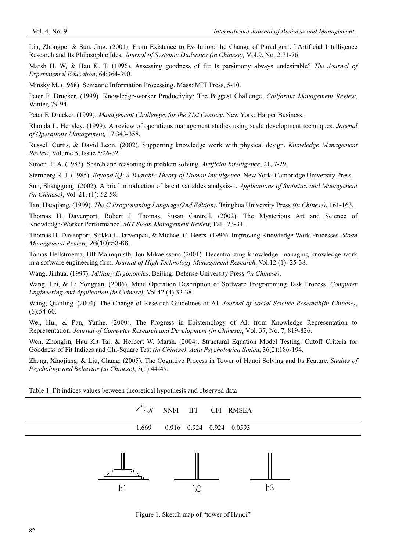Liu, Zhongpei & Sun, Jing. (2001). From Existence to Evolution: the Change of Paradigm of Artificial Intelligence Research and Its Philosophic Idea. *Journal of Systemic Dialectics (in Chinese),* Vol.9, No. 2:71-76.

Marsh H. W, & Hau K. T. (1996). Assessing goodness of fit: Is parsimony always undesirable? *The Journal of Experimental Education*, 64:364-390.

Minsky M. (1968). Semantic Information Processing. Mass: MIT Press, 5-10.

Peter F. Drucker. (1999). Knowledge-worker Productivity: The Biggest Challenge. *California Management Review*, Winter, 79-94

Peter F. Drucker. (1999). *Management Challenges for the 21st Century*. New York: Harper Business.

Rhonda L. Hensley. (1999). A review of operations management studies using scale development techniques. *Journal of Operations Management,* 17:343-358.

Russell Curtis, & David Leon. (2002). Supporting knowledge work with physical design. *Knowledge Management Review*, Volume 5, Issue 5:26-32.

Simon, H.A. (1983). Search and reasoning in problem solving. *Artificial Intelligence*, 21, 7-29.

Sternberg R. J. (1985). *Beyond IQ: A Triarchic Theory of Human Intelligence*. New York: Cambridge University Press.

Sun, Shanggong. (2002). A brief introduction of latent variables analysis-1. *Applications of Statistics and Management (in Chinese)*, Vol. 21, (1): 52-58.

Tan, Haoqiang. (1999). *The C Programming Language(2nd Edition)*. Tsinghua University Press *(in Chinese)*, 161-163.

Thomas H. Davenport, Robert J. Thomas, Susan Cantrell. (2002). The Mysterious Art and Science of Knowledge-Worker Performance. *MIT Sloan Management Review,* Fall, 23-31.

Thomas H. Davenport, Sirkka L. Jarvenpaa, & Michael C. Beers. (1996). Improving Knowledge Work Processes. *Sloan Management Review*, 26(10):53-66.

Tomas Hellstroèma, Ulf Malmquistb, Jon Mikaelssonc (2001). Decentralizing knowledge: managing knowledge work in a software engineering firm. *Journal of High Technology Management Research*, Vol.12 (1): 25-38.

Wang, Jinhua. (1997). *Military Ergonomics*. Beijing: Defense University Press *(in Chinese)*.

Wang, Lei, & Li Yongjian. (2006). Mind Operation Description of Software Programming Task Process. *Computer Engineering and Application (in Chinese)*, Vol.42 (4):33-38.

Wang, Qianling. (2004). The Change of Research Guidelines of AI. *Journal of Social Science Research(in Chinese)*,  $(6):54-60.$ 

Wei, Hui, & Pan, Yunhe. (2000). The Progress in Epistemology of AI: from Knowledge Representation to Representation. *Journal of Computer Research and Development (in Chinese)*, Vol. 37, No. 7, 819-826.

Wen, Zhonglin, Hau Kit Tai, & Herbert W. Marsh. (2004). Structural Equation Model Testing: Cutoff Criteria for Goodness of Fit Indices and Chi-Square Test *(in Chinese)*. *Acta Psychologica Sinica*, 36(2):186-194.

Zhang, Xiaojiang, & Liu, Chang. (2005). The Cognitive Process in Tower of Hanoi Solving and Its Feature. *Studies of Psychology and Behavior (in Chinese)*, 3(1):44-49.

Table 1. Fit indices values between theoretical hypothesis and observed data



Figure 1. Sketch map of "tower of Hanoi"